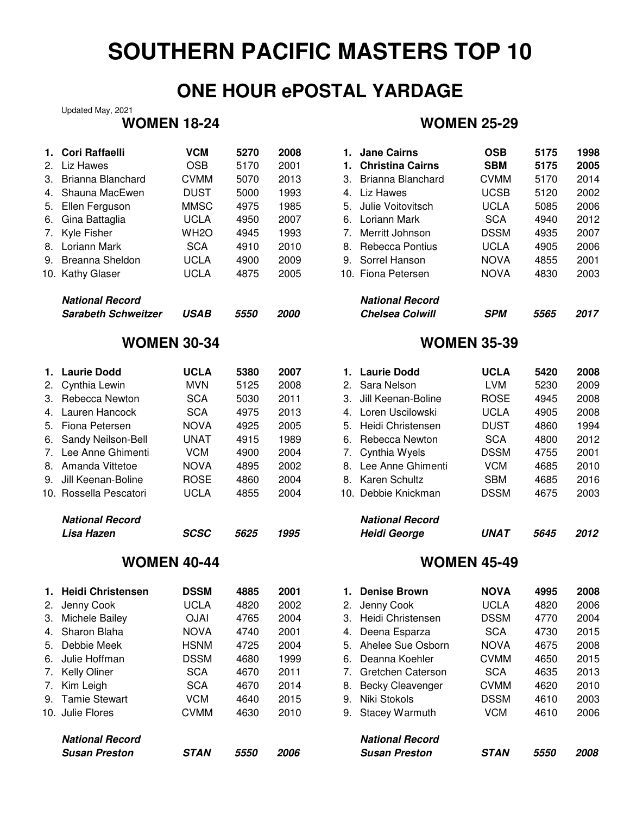## **ONE HOUR ePOSTAL YARDAGE**

Updated May, 2021

| 2.<br>3.<br>4.<br>5.<br>6.<br>7.<br>8.<br>9. | 1. Cori Raffaelli<br>Liz Hawes<br>Brianna Blanchard<br>Shauna MacEwen<br>Ellen Ferguson<br>Gina Battaglia<br>Kyle Fisher<br>Loriann Mark<br><b>Breanna Sheldon</b><br>10. Kathy Glaser | <b>VCM</b><br><b>OSB</b><br><b>CVMM</b><br><b>DUST</b><br><b>MMSC</b><br><b>UCLA</b><br>WH <sub>2</sub> O<br><b>SCA</b><br><b>UCLA</b><br><b>UCLA</b> | 5270<br>5170<br>5070<br>5000<br>4975<br>4950<br>4945<br>4910<br>4900<br>4875 | 2008<br>2001<br>2013<br>1993<br>1985<br>2007<br>1993<br>2010<br>2009<br>2005 | 1.<br>3.<br>4.<br>5.<br>7.<br>8.<br>9. | 1. Jane Cairns<br><b>Christina Cairns</b><br>Brianna Blanchard<br>Liz Hawes<br>Julie Voitovitsch<br>6. Loriann Mark<br>Merritt Johnson<br>Rebecca Pontius<br>Sorrel Hanson<br>10. Fiona Petersen | <b>OSB</b><br><b>SBM</b><br><b>CVMM</b><br><b>UCSB</b><br><b>UCLA</b><br><b>SCA</b><br><b>DSSM</b><br><b>UCLA</b><br><b>NOVA</b><br><b>NOVA</b> | 5175<br>5175<br>5170<br>5120<br>5085<br>4940<br>4935<br>4905<br>4855<br>4830 | 1998<br>2005<br>2014<br>2002<br>2006<br>2012<br>2007<br>2006<br>2001<br>2003 |
|----------------------------------------------|----------------------------------------------------------------------------------------------------------------------------------------------------------------------------------------|-------------------------------------------------------------------------------------------------------------------------------------------------------|------------------------------------------------------------------------------|------------------------------------------------------------------------------|----------------------------------------|--------------------------------------------------------------------------------------------------------------------------------------------------------------------------------------------------|-------------------------------------------------------------------------------------------------------------------------------------------------|------------------------------------------------------------------------------|------------------------------------------------------------------------------|
|                                              | <b>National Record</b>                                                                                                                                                                 |                                                                                                                                                       |                                                                              |                                                                              |                                        | <b>National Record</b>                                                                                                                                                                           |                                                                                                                                                 |                                                                              |                                                                              |
|                                              | <b>Sarabeth Schweitzer</b>                                                                                                                                                             | <b>USAB</b>                                                                                                                                           | 5550                                                                         | 2000                                                                         |                                        | <b>Chelsea Colwill</b>                                                                                                                                                                           | <b>SPM</b>                                                                                                                                      | 5565                                                                         | 2017                                                                         |
|                                              | <b>WOMEN 30-34</b>                                                                                                                                                                     |                                                                                                                                                       |                                                                              |                                                                              |                                        |                                                                                                                                                                                                  | <b>WOMEN 35-39</b>                                                                                                                              |                                                                              |                                                                              |
|                                              | 1. Laurie Dodd                                                                                                                                                                         | <b>UCLA</b>                                                                                                                                           | 5380                                                                         | 2007                                                                         |                                        | 1. Laurie Dodd                                                                                                                                                                                   | <b>UCLA</b>                                                                                                                                     | 5420                                                                         | 2008                                                                         |
| 2.                                           | Cynthia Lewin                                                                                                                                                                          | <b>MVN</b>                                                                                                                                            | 5125                                                                         | 2008                                                                         | 2.                                     | Sara Nelson                                                                                                                                                                                      | <b>LVM</b>                                                                                                                                      | 5230                                                                         | 2009                                                                         |
|                                              | 3. Rebecca Newton                                                                                                                                                                      | <b>SCA</b>                                                                                                                                            | 5030                                                                         | 2011                                                                         | 3.                                     | Jill Keenan-Boline                                                                                                                                                                               | <b>ROSE</b>                                                                                                                                     | 4945                                                                         | 2008                                                                         |
| 4.                                           | Lauren Hancock                                                                                                                                                                         | <b>SCA</b>                                                                                                                                            | 4975                                                                         | 2013                                                                         |                                        | 4. Loren Uscilowski                                                                                                                                                                              | <b>UCLA</b>                                                                                                                                     | 4905                                                                         | 2008                                                                         |
| 5.                                           | Fiona Petersen                                                                                                                                                                         | <b>NOVA</b>                                                                                                                                           | 4925                                                                         | 2005                                                                         | 5.                                     | Heidi Christensen                                                                                                                                                                                | <b>DUST</b>                                                                                                                                     | 4860                                                                         | 1994                                                                         |
| 6.                                           | Sandy Neilson-Bell                                                                                                                                                                     | <b>UNAT</b>                                                                                                                                           | 4915                                                                         | 1989                                                                         | 6.                                     | Rebecca Newton                                                                                                                                                                                   | <b>SCA</b>                                                                                                                                      | 4800                                                                         | 2012                                                                         |
| 7.                                           | Lee Anne Ghimenti                                                                                                                                                                      | <b>VCM</b>                                                                                                                                            | 4900                                                                         | 2004                                                                         | 7.                                     | Cynthia Wyels                                                                                                                                                                                    | <b>DSSM</b>                                                                                                                                     | 4755                                                                         | 2001                                                                         |
|                                              | 8. Amanda Vittetoe                                                                                                                                                                     | <b>NOVA</b>                                                                                                                                           | 4895                                                                         | 2002                                                                         |                                        | 8. Lee Anne Ghimenti                                                                                                                                                                             | <b>VCM</b>                                                                                                                                      | 4685                                                                         | 2010                                                                         |
|                                              | 9. Jill Keenan-Boline                                                                                                                                                                  | <b>ROSE</b>                                                                                                                                           | 4860                                                                         | 2004                                                                         | 8.                                     | <b>Karen Schultz</b>                                                                                                                                                                             | <b>SBM</b>                                                                                                                                      | 4685                                                                         | 2016                                                                         |
|                                              | 10. Rossella Pescatori                                                                                                                                                                 | <b>UCLA</b>                                                                                                                                           | 4855                                                                         | 2004                                                                         |                                        | 10. Debbie Knickman                                                                                                                                                                              | <b>DSSM</b>                                                                                                                                     | 4675                                                                         | 2003                                                                         |
|                                              | <b>National Record</b>                                                                                                                                                                 |                                                                                                                                                       |                                                                              |                                                                              |                                        | <b>National Record</b>                                                                                                                                                                           |                                                                                                                                                 |                                                                              |                                                                              |
|                                              | Lisa Hazen                                                                                                                                                                             | <b>SCSC</b>                                                                                                                                           | 5625                                                                         | 1995                                                                         |                                        | <b>Heidi George</b>                                                                                                                                                                              | <b>UNAT</b>                                                                                                                                     | 5645                                                                         | 2012                                                                         |
|                                              | <b>WOMEN 40-44</b>                                                                                                                                                                     |                                                                                                                                                       |                                                                              |                                                                              |                                        |                                                                                                                                                                                                  | <b>WOMEN 45-49</b>                                                                                                                              |                                                                              |                                                                              |
|                                              | 1. Heidi Christensen                                                                                                                                                                   | <b>DSSM</b>                                                                                                                                           | 4885                                                                         | 2001                                                                         |                                        | 1. Denise Brown                                                                                                                                                                                  | <b>NOVA</b>                                                                                                                                     | 4995                                                                         | 2008                                                                         |
| 2.                                           | Jenny Cook                                                                                                                                                                             | <b>UCLA</b>                                                                                                                                           | 4820                                                                         | 2002                                                                         | 2.                                     | Jenny Cook                                                                                                                                                                                       | <b>UCLA</b>                                                                                                                                     | 4820                                                                         | 2006                                                                         |
| 3.                                           | Michele Bailey                                                                                                                                                                         | <b>OJAI</b>                                                                                                                                           | 4765                                                                         | 2004                                                                         | 3.                                     | Heidi Christensen                                                                                                                                                                                | <b>DSSM</b>                                                                                                                                     | 4770                                                                         | 2004                                                                         |
| 4.                                           | Sharon Blaha                                                                                                                                                                           | <b>NOVA</b>                                                                                                                                           | 4740                                                                         | 2001                                                                         | 4.                                     | Deena Esparza                                                                                                                                                                                    | <b>SCA</b>                                                                                                                                      | 4730                                                                         | 2015                                                                         |
| 5.                                           | Debbie Meek                                                                                                                                                                            | <b>HSNM</b>                                                                                                                                           | 4725                                                                         | 2004                                                                         | 5.                                     | Ahelee Sue Osborn                                                                                                                                                                                | <b>NOVA</b>                                                                                                                                     | 4675                                                                         | 2008                                                                         |
| 6.                                           | Julie Hoffman                                                                                                                                                                          | <b>DSSM</b>                                                                                                                                           | 4680                                                                         | 1999                                                                         | 6.                                     | Deanna Koehler                                                                                                                                                                                   | <b>CVMM</b>                                                                                                                                     | 4650                                                                         | 2015                                                                         |
| 7.                                           | Kelly Oliner                                                                                                                                                                           | <b>SCA</b>                                                                                                                                            | 4670                                                                         | 2011                                                                         | 7.                                     | Gretchen Caterson                                                                                                                                                                                | <b>SCA</b>                                                                                                                                      | 4635                                                                         | 2013                                                                         |
| 7.                                           | Kim Leigh                                                                                                                                                                              | <b>SCA</b>                                                                                                                                            | 4670                                                                         | 2014                                                                         | 8.                                     | <b>Becky Cleavenger</b>                                                                                                                                                                          | <b>CVMM</b>                                                                                                                                     | 4620                                                                         | 2010                                                                         |
|                                              |                                                                                                                                                                                        |                                                                                                                                                       |                                                                              |                                                                              |                                        |                                                                                                                                                                                                  |                                                                                                                                                 |                                                                              |                                                                              |

### 9. Tamie Stewart VCM 4640 2015 9. Niki Stokols DSSM 4610 2003 10. Julie Flores CVMM 4630 2010

| <b>National Record</b> |  |
|------------------------|--|
| <b>Susan Preston</b>   |  |

## **WOMEN 18-24 WOMEN 25-29**

| Cori Raffaelli             | <b>VCM</b>  | 5270 | 2008 |    | <b>Jane Cairns</b>      | <b>OSB</b>  | 5175 | 1998 |
|----------------------------|-------------|------|------|----|-------------------------|-------------|------|------|
| Liz Hawes                  | <b>OSB</b>  | 5170 | 2001 |    | <b>Christina Cairns</b> | <b>SBM</b>  | 5175 | 2005 |
| <b>Brianna Blanchard</b>   | <b>CVMM</b> | 5070 | 2013 | 3. | Brianna Blanchard       | <b>CVMM</b> | 5170 | 2014 |
| Shauna MacEwen             | <b>DUST</b> | 5000 | 1993 | 4. | Liz Hawes               | <b>UCSB</b> | 5120 | 2002 |
| Ellen Ferguson             | <b>MMSC</b> | 4975 | 1985 | 5. | Julie Voitovitsch       | <b>UCLA</b> | 5085 | 2006 |
| Gina Battaglia             | UCLA        | 4950 | 2007 | 6. | Loriann Mark            | <b>SCA</b>  | 4940 | 2012 |
| Kyle Fisher                | WH2O        | 4945 | 1993 |    | Merritt Johnson         | <b>DSSM</b> | 4935 | 2007 |
| Loriann Mark               | <b>SCA</b>  | 4910 | 2010 | 8. | Rebecca Pontius         | UCLA        | 4905 | 2006 |
| Breanna Sheldon            | UCLA        | 4900 | 2009 |    | 9. Sorrel Hanson        | <b>NOVA</b> | 4855 | 2001 |
| Kathy Glaser               | UCLA        | 4875 | 2005 |    | 10. Fiona Petersen      | <b>NOVA</b> | 4830 | 2003 |
| <b>National Record</b>     |             |      |      |    | <b>National Record</b>  |             |      |      |
| <b>Sarabeth Schweitzer</b> | <b>USAB</b> | 5550 | 2000 |    | <b>Chelsea Colwill</b>  | <b>SPM</b>  | 5565 | 2017 |

## **WOMEN 35-39**

| 1. | <b>Laurie Dodd</b>     | <b>UCLA</b> | 5420 | 2008 |
|----|------------------------|-------------|------|------|
| 2. | Sara Nelson            | LVM         | 5230 | 2009 |
|    | 3. Jill Keenan-Boline  | <b>ROSE</b> | 4945 | 2008 |
|    | 4. Loren Uscilowski    | <b>UCLA</b> | 4905 | 2008 |
| 5. | Heidi Christensen      | DUST        | 4860 | 1994 |
| 6. | Rebecca Newton         | <b>SCA</b>  | 4800 | 2012 |
|    | 7. Cynthia Wyels       | <b>DSSM</b> | 4755 | 2001 |
| 8. | Lee Anne Ghimenti      | VCM         | 4685 | 2010 |
|    | 8. Karen Schultz       | <b>SBM</b>  | 4685 | 2016 |
|    | 10. Debbie Knickman    | <b>DSSM</b> | 4675 | 2003 |
|    |                        |             |      |      |
|    | <b>National Record</b> |             |      |      |

# Heidi George **UNAT** 5645 2012

### **WOMEN 45-49**

| Heidi Christensen      | <b>DSSM</b> | 4885 | 2001 |    | <b>Denise Brown</b>     | <b>NOVA</b> | 4995 | 2008 |
|------------------------|-------------|------|------|----|-------------------------|-------------|------|------|
| Jenny Cook             | <b>UCLA</b> | 4820 | 2002 | 2. | Jenny Cook              | <b>UCLA</b> | 4820 | 2006 |
| Michele Bailey         | <b>OJAI</b> | 4765 | 2004 | З. | Heidi Christensen       | <b>DSSM</b> | 4770 | 2004 |
| Sharon Blaha           | <b>NOVA</b> | 4740 | 2001 | 4. | Deena Esparza           | <b>SCA</b>  | 4730 | 2015 |
| Debbie Meek            | <b>HSNM</b> | 4725 | 2004 | 5. | Ahelee Sue Osborn       | <b>NOVA</b> | 4675 | 2008 |
| Julie Hoffman          | <b>DSSM</b> | 4680 | 1999 | 6. | Deanna Koehler          | <b>CVMM</b> | 4650 | 2015 |
| Kelly Oliner           | <b>SCA</b>  | 4670 | 2011 | 7. | Gretchen Caterson       | <b>SCA</b>  | 4635 | 2013 |
| Kim Leigh              | <b>SCA</b>  | 4670 | 2014 | 8. | <b>Becky Cleavenger</b> | <b>CVMM</b> | 4620 | 2010 |
| Tamie Stewart          | <b>VCM</b>  | 4640 | 2015 | 9. | Niki Stokols            | <b>DSSM</b> | 4610 | 2003 |
| Julie Flores           | <b>CVMM</b> | 4630 | 2010 | 9. | <b>Stacey Warmuth</b>   | <b>VCM</b>  | 4610 | 2006 |
| <b>National Record</b> |             |      |      |    | <b>National Record</b>  |             |      |      |
| <b>Susan Preston</b>   | <b>STAN</b> | 5550 | 2006 |    | <b>Susan Preston</b>    | <b>STAN</b> | 5550 | 2008 |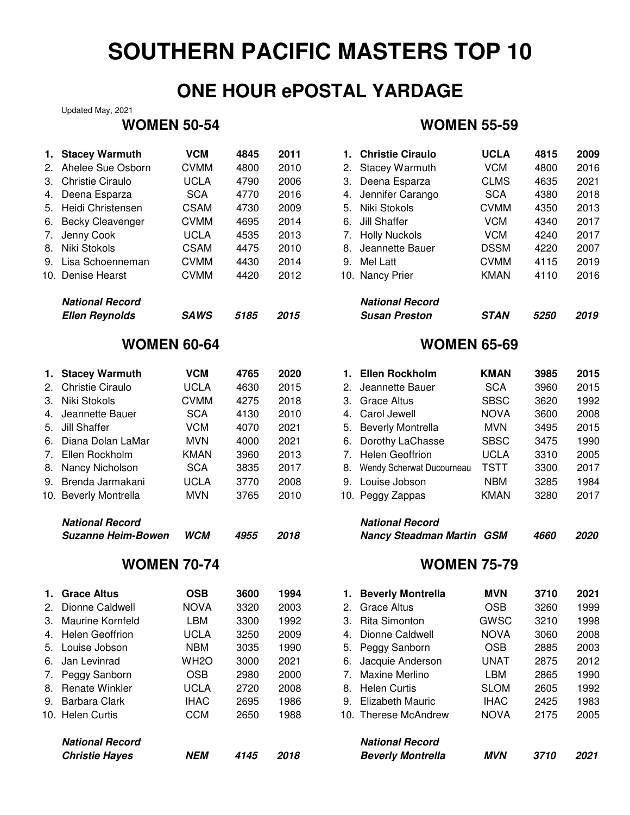## **ONE HOUR ePOSTAL YARDAGE**

Updated May, 2021

| <b>National Record</b><br><b>Suzanne Heim-Bowen</b> | <b>WCM</b>                                                                                                        | 4955                                                                         | 2018                         |                              | <b>National Record</b>    |                                                                                                                              | 4660                                                                                                             | 2020                         |
|-----------------------------------------------------|-------------------------------------------------------------------------------------------------------------------|------------------------------------------------------------------------------|------------------------------|------------------------------|---------------------------|------------------------------------------------------------------------------------------------------------------------------|------------------------------------------------------------------------------------------------------------------|------------------------------|
| 10. Beverly Montrella                               | <b>MVN</b>                                                                                                        | 3765                                                                         | 2010                         |                              |                           | <b>KMAN</b>                                                                                                                  | 3280                                                                                                             | 2017                         |
| Brenda Jarmakani                                    | <b>UCLA</b>                                                                                                       | 3770                                                                         | 2008                         | 9.                           | Louise Jobson             | <b>NBM</b>                                                                                                                   | 3285                                                                                                             | 1984                         |
| Nancy Nicholson                                     | <b>SCA</b>                                                                                                        | 3835                                                                         | 2017                         | 8.                           | Wendy Scherwat Ducourneau | <b>TSTT</b>                                                                                                                  | 3300                                                                                                             | 2017                         |
| Ellen Rockholm                                      | <b>KMAN</b>                                                                                                       | 3960                                                                         | 2013                         | 7.                           | <b>Helen Geoffrion</b>    | <b>UCLA</b>                                                                                                                  | 3310                                                                                                             | 2005                         |
| Diana Dolan LaMar                                   | <b>MVN</b>                                                                                                        | 4000                                                                         | 2021                         | 6.                           | Dorothy LaChasse          | <b>SBSC</b>                                                                                                                  | 3475                                                                                                             | 1990                         |
| <b>Jill Shaffer</b>                                 | <b>VCM</b>                                                                                                        | 4070                                                                         | 2021                         | 5.                           | <b>Beverly Montrella</b>  | <b>MVN</b>                                                                                                                   | 3495                                                                                                             | 2015                         |
| Jeannette Bauer                                     | <b>SCA</b>                                                                                                        | 4130                                                                         | 2010                         | 4.                           | Carol Jewell              | <b>NOVA</b>                                                                                                                  | 3600                                                                                                             | 2008                         |
| Niki Stokols                                        | <b>CVMM</b>                                                                                                       | 4275                                                                         | 2018                         | 3.                           | <b>Grace Altus</b>        | <b>SBSC</b>                                                                                                                  | 3620                                                                                                             | 1992                         |
| <b>Christie Ciraulo</b>                             | <b>UCLA</b>                                                                                                       | 4630                                                                         | 2015                         | 2.                           | Jeannette Bauer           | <b>SCA</b>                                                                                                                   | 3960                                                                                                             | 2015                         |
| <b>Stacey Warmuth</b>                               | <b>VCM</b>                                                                                                        | 4765                                                                         | 2020                         | 1.                           | <b>Ellen Rockholm</b>     | <b>KMAN</b>                                                                                                                  | 3985                                                                                                             | 2015                         |
|                                                     |                                                                                                                   |                                                                              |                              |                              |                           |                                                                                                                              |                                                                                                                  |                              |
| <b>Ellen Reynolds</b>                               | <b>SAWS</b>                                                                                                       | 5185                                                                         | 2015                         |                              | <b>Susan Preston</b>      | <b>STAN</b>                                                                                                                  | 5250                                                                                                             | 2019                         |
| <b>National Record</b>                              |                                                                                                                   |                                                                              |                              |                              | <b>National Record</b>    |                                                                                                                              |                                                                                                                  |                              |
| 10. Denise Hearst                                   | <b>CVMM</b>                                                                                                       | 4420                                                                         | 2012                         |                              |                           | <b>KMAN</b>                                                                                                                  | 4110                                                                                                             | 2016                         |
| Lisa Schoenneman                                    | <b>CVMM</b>                                                                                                       | 4430                                                                         | 2014                         | 9.                           | <b>Mel Latt</b>           | <b>CVMM</b>                                                                                                                  | 4115                                                                                                             | 2019                         |
| Niki Stokols                                        | <b>CSAM</b>                                                                                                       | 4475                                                                         | 2010                         | 8.                           | Jeannette Bauer           | <b>DSSM</b>                                                                                                                  | 4220                                                                                                             | 2007                         |
| Jenny Cook                                          | <b>UCLA</b>                                                                                                       | 4535                                                                         | 2013                         | 7.                           | <b>Holly Nuckols</b>      | <b>VCM</b>                                                                                                                   | 4240                                                                                                             | 2017                         |
|                                                     | <b>CVMM</b>                                                                                                       | 4695                                                                         | 2014                         | 6.                           | <b>Jill Shaffer</b>       | <b>VCM</b>                                                                                                                   | 4340                                                                                                             | 2017                         |
| Heidi Christensen                                   | <b>CSAM</b>                                                                                                       | 4730                                                                         | 2009                         | 5.                           | Niki Stokols              | <b>CVMM</b>                                                                                                                  | 4350                                                                                                             | 2013                         |
|                                                     |                                                                                                                   |                                                                              |                              | 4.                           |                           |                                                                                                                              |                                                                                                                  | 2018                         |
|                                                     |                                                                                                                   |                                                                              |                              |                              |                           |                                                                                                                              |                                                                                                                  | 2021                         |
|                                                     |                                                                                                                   |                                                                              |                              | 2.                           |                           |                                                                                                                              |                                                                                                                  | 2016                         |
| 1.                                                  |                                                                                                                   |                                                                              |                              | 1.                           |                           |                                                                                                                              |                                                                                                                  | 2009                         |
|                                                     | <b>Stacey Warmuth</b><br>Ahelee Sue Osborn<br><b>Christie Ciraulo</b><br>Deena Esparza<br><b>Becky Cleavenger</b> | <b>VCM</b><br><b>CVMM</b><br><b>UCLA</b><br><b>SCA</b><br><b>WOMEN 60-64</b> | 4845<br>4800<br>4790<br>4770 | 2011<br>2010<br>2006<br>2016 | 3.                        | <b>Christie Ciraulo</b><br><b>Stacey Warmuth</b><br>Deena Esparza<br>Jennifer Carango<br>10. Nancy Prier<br>10. Peggy Zappas | <b>UCLA</b><br><b>VCM</b><br><b>CLMS</b><br><b>SCA</b><br><b>WOMEN 65-69</b><br><b>Nancy Steadman Martin GSM</b> | 4815<br>4800<br>4635<br>4380 |

|    | 1. Grace Altus         | <b>OSB</b>        | 3600 | 1994 |                | 1. Beverly Montrell    |
|----|------------------------|-------------------|------|------|----------------|------------------------|
|    | 2. Dionne Caldwell     | <b>NOVA</b>       | 3320 | 2003 | 2 <sub>1</sub> | Grace Altus            |
| 3. | Maurine Kornfeld       | LBM               | 3300 | 1992 | 3.             | <b>Rita Simonton</b>   |
|    | 4. Helen Geoffrion     | <b>UCLA</b>       | 3250 | 2009 |                | 4. Dionne Caldwell     |
|    | 5. Louise Jobson       | <b>NBM</b>        | 3035 | 1990 |                | 5. Peggy Sanborn       |
| 6. | Jan Levinrad           | WH <sub>2</sub> O | 3000 | 2021 | 6.             | Jacquie Andersor       |
|    | 7. Peggy Sanborn       | <b>OSB</b>        | 2980 | 2000 |                | 7. Maxine Merlino      |
| 8. | <b>Renate Winkler</b>  | <b>UCLA</b>       | 2720 | 2008 |                | 8. Helen Curtis        |
|    | 9. Barbara Clark       | <b>IHAC</b>       | 2695 | 1986 |                | 9. Elizabeth Mauric    |
|    | 10. Helen Curtis       | CCM               | 2650 | 1988 |                | 10. Therese McAndre    |
|    | <b>National Record</b> |                   |      |      |                | <b>National Record</b> |
|    | <b>Christie Hayes</b>  | NEM               | 4145 | 2018 |                | <b>Beverly Montrel</b> |

### **WOMEN 50-54 WOMEN 55-59**

| <b>Stacey Warmuth</b>   | <b>VCM</b>  | 4845 | 2011 |    | 1. Christie Ciraulo    | <b>UCLA</b> | 4815               | 2009 |
|-------------------------|-------------|------|------|----|------------------------|-------------|--------------------|------|
| Ahelee Sue Osborn       | <b>CVMM</b> | 4800 | 2010 | 2. | <b>Stacey Warmuth</b>  | <b>VCM</b>  | 4800               | 2016 |
| Christie Ciraulo        | UCLA        | 4790 | 2006 | 3. | Deena Esparza          | <b>CLMS</b> | 4635               | 2021 |
| Deena Esparza           | <b>SCA</b>  | 4770 | 2016 | 4. | Jennifer Carango       | <b>SCA</b>  | 4380               | 2018 |
| Heidi Christensen       | <b>CSAM</b> | 4730 | 2009 | 5. | Niki Stokols           | <b>CVMM</b> | 4350               | 2013 |
| <b>Becky Cleavenger</b> | <b>CVMM</b> | 4695 | 2014 | 6. | Jill Shaffer           | VCM         | 4340               | 2017 |
| Jenny Cook              | UCLA        | 4535 | 2013 |    | <b>Holly Nuckols</b>   | <b>VCM</b>  | 4240               | 2017 |
| Niki Stokols            | <b>CSAM</b> | 4475 | 2010 | 8. | Jeannette Bauer        | <b>DSSM</b> | 4220               | 2007 |
| Lisa Schoenneman        | <b>CVMM</b> | 4430 | 2014 | 9. | Mel Latt               | <b>CVMM</b> | 4115               | 2019 |
| Denise Hearst           | <b>CVMM</b> | 4420 | 2012 |    | 10. Nancy Prier        | <b>KMAN</b> | 4110               | 2016 |
| <b>National Record</b>  |             |      |      |    | <b>National Record</b> |             |                    |      |
| <b>Ellen Reynolds</b>   | <b>SAWS</b> | 5185 | 2015 |    | <b>Susan Preston</b>   | <b>STAN</b> | <i><b>5250</b></i> | 2019 |

### **WOMEN 65-69**

| 1. | <b>Ellen Rockholm</b>     | <b>KMAN</b> | 3985 | 2015 |
|----|---------------------------|-------------|------|------|
| 2. | Jeannette Bauer           | <b>SCA</b>  | 3960 | 2015 |
| З. | Grace Altus               | <b>SBSC</b> | 3620 | 1992 |
| 4. | Carol Jewell              | <b>NOVA</b> | 3600 | 2008 |
| 5. | <b>Beverly Montrella</b>  | <b>MVN</b>  | 3495 | 2015 |
| 6. | Dorothy LaChasse          | <b>SBSC</b> | 3475 | 1990 |
| 7. | <b>Helen Geoffrion</b>    | UCLA        | 3310 | 2005 |
| 8. | Wendy Scherwat Ducourneau | TSTT        | 3300 | 2017 |
| 9. | Louise Jobson             | <b>NBM</b>  | 3285 | 1984 |
|    | 10. Peggy Zappas          | <b>KMAN</b> | 3280 | 2017 |
|    | $M2$ is a set $R2$ and    |             |      |      |

| ivalional necolu          |      |      |
|---------------------------|------|------|
| Nancy Steadman Martin GSM | 4660 | 2020 |

| 1. Grace Altus         | <b>OSB</b>        | 3600 | 1994 |    | 1. Beverly Montrella     | <b>MVN</b>  | 3710 | 2021 |
|------------------------|-------------------|------|------|----|--------------------------|-------------|------|------|
| 2. Dionne Caldwell     | <b>NOVA</b>       | 3320 | 2003 | 2. | Grace Altus              | <b>OSB</b>  | 3260 | 1999 |
| 3. Maurine Kornfeld    | LBM               | 3300 | 1992 | 3. | <b>Rita Simonton</b>     | GWSC        | 3210 | 1998 |
| 4. Helen Geoffrion     | UCLA              | 3250 | 2009 | 4. | Dionne Caldwell          | <b>NOVA</b> | 3060 | 2008 |
| 5. Louise Jobson       | <b>NBM</b>        | 3035 | 1990 | 5. | Peggy Sanborn            | <b>OSB</b>  | 2885 | 2003 |
| 6. Jan Levinrad        | WH <sub>2</sub> O | 3000 | 2021 | 6. | Jacquie Anderson         | UNAT        | 2875 | 2012 |
| 7. Peggy Sanborn       | <b>OSB</b>        | 2980 | 2000 |    | Maxine Merlino           | LBM         | 2865 | 1990 |
| 8. Renate Winkler      | <b>UCLA</b>       | 2720 | 2008 | 8. | <b>Helen Curtis</b>      | <b>SLOM</b> | 2605 | 1992 |
| 9. Barbara Clark       | <b>IHAC</b>       | 2695 | 1986 | 9. | Elizabeth Mauric         | <b>IHAC</b> | 2425 | 1983 |
| 10. Helen Curtis       | <b>CCM</b>        | 2650 | 1988 |    | 10. Therese McAndrew     | <b>NOVA</b> | 2175 | 2005 |
| <b>National Record</b> |                   |      |      |    | <b>National Record</b>   |             |      |      |
| <b>Christie Hayes</b>  | <b>NEM</b>        | 4145 | 2018 |    | <b>Beverly Montrella</b> | <b>MVN</b>  | 3710 | 2021 |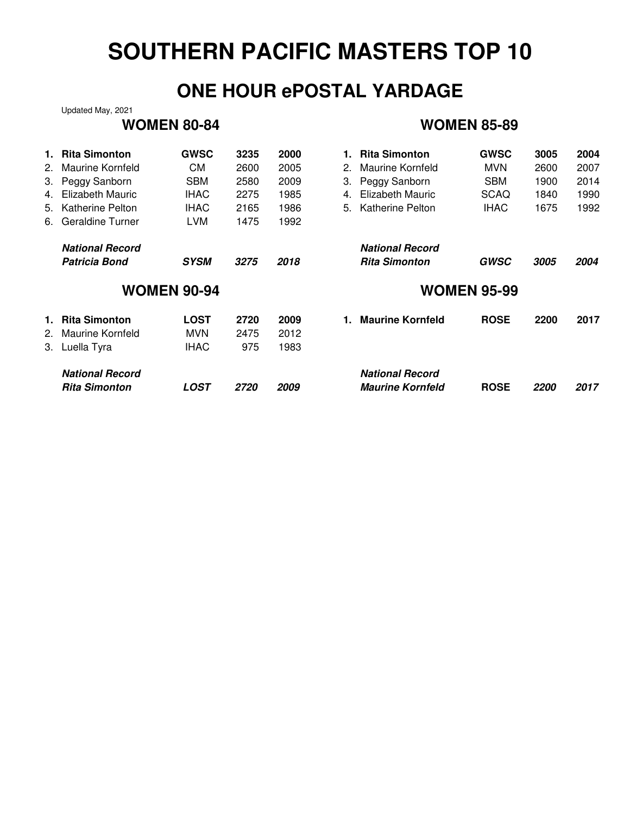## **ONE HOUR ePOSTAL YARDAGE**

Updated May, 2021

### **WOMEN 80-84 WOMEN 85-89**

| 1. | <b>Rita Simonton</b>   | <b>GWSC</b>        | 3235               | 2000 | <b>Rita Simonton</b><br>1.    | <b>GWSC</b> | 3005               | 2004 |  |  |
|----|------------------------|--------------------|--------------------|------|-------------------------------|-------------|--------------------|------|--|--|
|    | 2. Maurine Kornfeld    | СM                 | 2600               | 2005 | Maurine Kornfeld<br>2.        | <b>MVN</b>  | 2600               | 2007 |  |  |
|    | 3. Peggy Sanborn       | <b>SBM</b>         | 2580               | 2009 | Peggy Sanborn<br>З.           | <b>SBM</b>  | 1900               | 2014 |  |  |
|    | 4. Elizabeth Mauric    | <b>IHAC</b>        | 2275               | 1985 | Elizabeth Mauric<br>4.        | <b>SCAQ</b> | 1840               | 1990 |  |  |
| 5. | Katherine Pelton       | <b>IHAC</b>        | 2165               | 1986 | Katherine Pelton<br>5.        | <b>IHAC</b> | 1675               | 1992 |  |  |
|    | 6. Geraldine Turner    | <b>LVM</b>         | 1475               | 1992 |                               |             |                    |      |  |  |
|    | <b>National Record</b> |                    |                    |      | <b>National Record</b>        |             |                    |      |  |  |
|    | Patricia Bond          | <b>SYSM</b>        | 3275               | 2018 | <b>Rita Simonton</b>          | <b>GWSC</b> | 3005               | 2004 |  |  |
|    |                        |                    |                    |      | <b>WOMEN 95-99</b>            |             |                    |      |  |  |
|    |                        | <b>WOMEN 90-94</b> |                    |      |                               |             |                    |      |  |  |
|    | 1. Rita Simonton       | <b>LOST</b>        | 2720               | 2009 | <b>Maurine Kornfeld</b><br>1. | <b>ROSE</b> | 2200               | 2017 |  |  |
|    | 2. Maurine Kornfeld    | <b>MVN</b>         | 2475               | 2012 |                               |             |                    |      |  |  |
|    | 3. Luella Tyra         | <b>IHAC</b>        | 975                | 1983 |                               |             |                    |      |  |  |
|    | <b>National Record</b> |                    |                    |      | <b>National Record</b>        |             |                    |      |  |  |
|    | <b>Rita Simonton</b>   | LOST               | <i><b>2720</b></i> | 2009 | <b>Maurine Kornfeld</b>       | <b>ROSE</b> | <i><b>2200</b></i> | 2017 |  |  |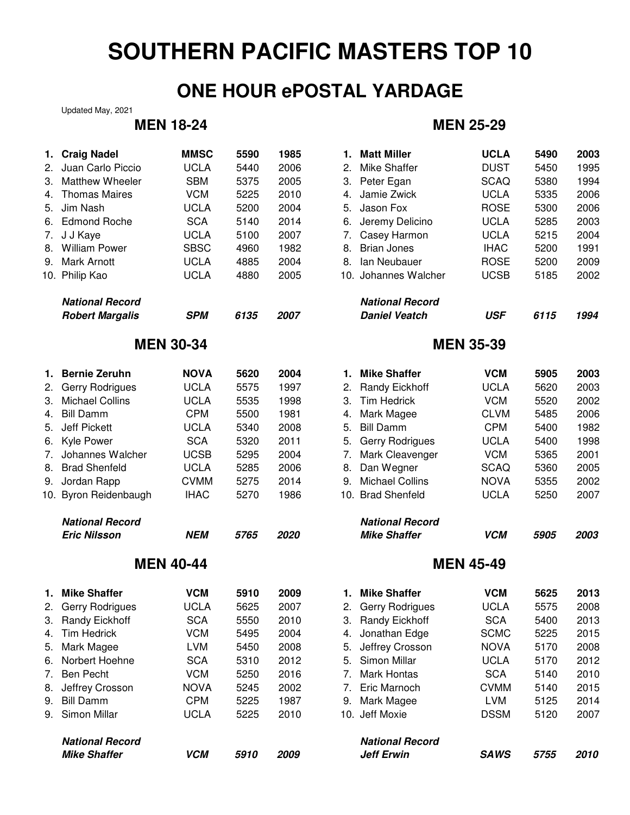## **ONE HOUR ePOSTAL YARDAGE**

Updated May, 2021

| 1. | <b>Craig Nadel</b>     | <b>MMSC</b>      | 5590 | 1985 | 1. | <b>Matt Miller</b>     | <b>UCLA</b>      | 5490 | 2003 |
|----|------------------------|------------------|------|------|----|------------------------|------------------|------|------|
| 2. | Juan Carlo Piccio      | <b>UCLA</b>      | 5440 | 2006 | 2. | <b>Mike Shaffer</b>    | <b>DUST</b>      | 5450 | 1995 |
| 3. | <b>Matthew Wheeler</b> | <b>SBM</b>       | 5375 | 2005 |    | 3. Peter Egan          | <b>SCAQ</b>      | 5380 | 1994 |
| 4. | <b>Thomas Maires</b>   | <b>VCM</b>       | 5225 | 2010 | 4. | Jamie Zwick            | <b>UCLA</b>      | 5335 | 2006 |
| 5. | Jim Nash               | <b>UCLA</b>      | 5200 | 2004 | 5. | Jason Fox              | <b>ROSE</b>      | 5300 | 2006 |
|    | 6. Edmond Roche        | <b>SCA</b>       | 5140 | 2014 | 6. | Jeremy Delicino        | <b>UCLA</b>      | 5285 | 2003 |
| 7. | J J Kaye               | <b>UCLA</b>      | 5100 | 2007 | 7. | Casey Harmon           | <b>UCLA</b>      | 5215 | 2004 |
|    | 8. William Power       | <b>SBSC</b>      | 4960 | 1982 | 8. | <b>Brian Jones</b>     | <b>IHAC</b>      | 5200 | 1991 |
|    | 9. Mark Arnott         | <b>UCLA</b>      | 4885 | 2004 | 8. | Ian Neubauer           | <b>ROSE</b>      | 5200 | 2009 |
|    | 10. Philip Kao         | <b>UCLA</b>      | 4880 | 2005 |    | 10. Johannes Walcher   | <b>UCSB</b>      | 5185 | 2002 |
|    | <b>National Record</b> |                  |      |      |    | <b>National Record</b> |                  |      |      |
|    | <b>Robert Margalis</b> | <b>SPM</b>       | 6135 | 2007 |    | <b>Daniel Veatch</b>   | <b>USF</b>       | 6115 | 1994 |
|    |                        | <b>MEN 30-34</b> |      |      |    |                        | <b>MEN 35-39</b> |      |      |
| 1. | <b>Bernie Zeruhn</b>   | <b>NOVA</b>      | 5620 | 2004 | 1. | <b>Mike Shaffer</b>    | <b>VCM</b>       | 5905 | 2003 |
| 2. | <b>Gerry Rodrigues</b> | <b>UCLA</b>      | 5575 | 1997 | 2. | Randy Eickhoff         | <b>UCLA</b>      | 5620 | 2003 |
| 3. | <b>Michael Collins</b> | <b>UCLA</b>      | 5535 | 1998 | 3. | <b>Tim Hedrick</b>     | <b>VCM</b>       | 5520 | 2002 |
| 4. | <b>Bill Damm</b>       | <b>CPM</b>       | 5500 | 1981 | 4. | Mark Magee             | <b>CLVM</b>      | 5485 | 2006 |
| 5. | <b>Jeff Pickett</b>    | <b>UCLA</b>      | 5340 | 2008 | 5. | <b>Bill Damm</b>       | <b>CPM</b>       | 5400 | 1982 |
|    | 6. Kyle Power          | <b>SCA</b>       | 5320 | 2011 | 5. | <b>Gerry Rodrigues</b> | <b>UCLA</b>      | 5400 | 1998 |
| 7. | Johannes Walcher       | <b>UCSB</b>      | 5295 | 2004 | 7. | Mark Cleavenger        | <b>VCM</b>       | 5365 | 2001 |
| 8. | <b>Brad Shenfeld</b>   | <b>UCLA</b>      | 5285 | 2006 | 8. | Dan Wegner             | <b>SCAQ</b>      | 5360 | 2005 |
| 9. | Jordan Rapp            | <b>CVMM</b>      | 5275 | 2014 | 9. | <b>Michael Collins</b> | <b>NOVA</b>      | 5355 | 2002 |
|    | 10. Byron Reidenbaugh  | <b>IHAC</b>      | 5270 | 1986 |    | 10. Brad Shenfeld      | <b>UCLA</b>      | 5250 | 2007 |
|    | <b>National Record</b> |                  |      |      |    | <b>National Record</b> |                  |      |      |
|    | <b>Eric Nilsson</b>    | NEM              | 5765 | 2020 |    | <b>Mike Shaffer</b>    | <b>VCM</b>       | 5905 | 2003 |
|    |                        | <b>MEN 40-44</b> |      |      |    |                        | <b>MEN 45-49</b> |      |      |
|    | 1. Mike Shaffer        | <b>VCM</b>       | 5910 | 2009 | 1. | <b>Mike Shaffer</b>    | <b>VCM</b>       | 5625 | 2013 |
|    | 2. Gerry Rodrigues     | <b>UCLA</b>      | 5625 | 2007 |    | 2. Gerry Rodrigues     | <b>UCLA</b>      | 5575 | 2008 |
| З. | <b>Randy Eickhoff</b>  | <b>SCA</b>       | 5550 | 2010 |    | 3. Randy Eickhoff      | <b>SCA</b>       | 5400 | 2013 |
| 4. | <b>Tim Hedrick</b>     | <b>VCM</b>       | 5495 | 2004 | 4. | Jonathan Edge          | <b>SCMC</b>      | 5225 | 2015 |
| 5. | Mark Magee             | LVM              | 5450 | 2008 | 5. | Jeffrey Crosson        | <b>NOVA</b>      | 5170 | 2008 |
| 6. | Norbert Hoehne         | <b>SCA</b>       | 5310 | 2012 | 5. | Simon Millar           | <b>UCLA</b>      | 5170 | 2012 |
| 7. | <b>Ben Pecht</b>       | <b>VCM</b>       | 5250 | 2016 | 7. | <b>Mark Hontas</b>     | <b>SCA</b>       | 5140 | 2010 |
| 8. | Jeffrey Crosson        | <b>NOVA</b>      | 5245 | 2002 | 7. | Eric Marnoch           | <b>CVMM</b>      | 5140 | 2015 |
| 9. | <b>Bill Damm</b>       | <b>CPM</b>       | 5225 | 1987 | 9. | Mark Magee             | <b>LVM</b>       | 5125 | 2014 |
| 9. | Simon Millar           | <b>UCLA</b>      | 5225 | 2010 |    | 10. Jeff Moxie         | <b>DSSM</b>      | 5120 | 2007 |
|    | <b>National Record</b> |                  |      |      |    | <b>National Record</b> |                  |      |      |
|    | <b>Mike Shaffer</b>    | <b>VCM</b>       | 5910 | 2009 |    | <b>Jeff Erwin</b>      | <b>SAWS</b>      | 5755 | 2010 |

## **MEN 18-24 MEN 25-29**

| <b>Craig Nadel</b>     | <b>MMSC</b>      | 5590 | 1985 |    | 1. Matt Miller         | <b>UCLA</b>      | 5490 | 2003 |
|------------------------|------------------|------|------|----|------------------------|------------------|------|------|
| Juan Carlo Piccio      | <b>UCLA</b>      | 5440 | 2006 | 2. | <b>Mike Shaffer</b>    | <b>DUST</b>      | 5450 | 1995 |
| Matthew Wheeler        | <b>SBM</b>       | 5375 | 2005 | 3. | Peter Egan             | <b>SCAQ</b>      | 5380 | 1994 |
| <b>Thomas Maires</b>   | <b>VCM</b>       | 5225 | 2010 | 4. | Jamie Zwick            | <b>UCLA</b>      | 5335 | 2006 |
| Jim Nash               | <b>UCLA</b>      | 5200 | 2004 | 5. | Jason Fox              | <b>ROSE</b>      | 5300 | 2006 |
| <b>Edmond Roche</b>    | <b>SCA</b>       | 5140 | 2014 | 6. | Jeremy Delicino        | <b>UCLA</b>      | 5285 | 2003 |
| J J Kaye               | <b>UCLA</b>      | 5100 | 2007 | 7. | Casey Harmon           | <b>UCLA</b>      | 5215 | 2004 |
| <b>William Power</b>   | <b>SBSC</b>      | 4960 | 1982 | 8. | <b>Brian Jones</b>     | <b>IHAC</b>      | 5200 | 1991 |
| Mark Arnott            | <b>UCLA</b>      | 4885 | 2004 | 8. | Ian Neubauer           | <b>ROSE</b>      | 5200 | 2009 |
| Philip Kao             | <b>UCLA</b>      | 4880 | 2005 |    | 10. Johannes Walcher   | <b>UCSB</b>      | 5185 | 2002 |
| <b>National Record</b> |                  |      |      |    | <b>National Record</b> |                  |      |      |
| <b>Robert Margalis</b> | <b>SPM</b>       | 6135 | 2007 |    | <b>Daniel Veatch</b>   | <b>USF</b>       | 6115 | 1994 |
|                        | <b>MEN 30-34</b> |      |      |    |                        | <b>MEN 35-39</b> |      |      |
| <b>Bernie Zeruhn</b>   | <b>NOVA</b>      | 5620 | 2004 | 1. | <b>Mike Shaffer</b>    | <b>VCM</b>       | 5905 | 2003 |
| Gerry Rodrigues        | <b>UCLA</b>      | 5575 | 1997 | 2. | Randy Eickhoff         | <b>UCLA</b>      | 5620 | 2003 |
| <b>Michael Collins</b> | <b>UCLA</b>      | 5535 | 1998 | 3. | <b>Tim Hedrick</b>     | <b>VCM</b>       | 5520 | 2002 |
| <b>Bill Damm</b>       | <b>CPM</b>       | 5500 | 1981 | 4. | Mark Magee             | <b>CLVM</b>      | 5485 | 2006 |
| <b>Jeff Pickett</b>    | <b>UCLA</b>      | 5340 | 2008 | 5. | <b>Bill Damm</b>       | <b>CPM</b>       | 5400 | 1982 |
| Kyle Power             | <b>SCA</b>       | 5320 | 2011 | 5. | <b>Gerry Rodrigues</b> | <b>UCLA</b>      | 5400 | 1998 |
| Johannes Walcher       | <b>UCSB</b>      | 5295 | 2004 | 7. | Mark Cleavenger        | <b>VCM</b>       | 5365 | 2001 |
| <b>Brad Shenfeld</b>   | <b>UCLA</b>      | 5285 | 2006 | 8. | Dan Wegner             | <b>SCAQ</b>      | 5360 | 2005 |
| Jordan Rapp            | <b>CVMM</b>      | 5275 | 2014 | 9. | <b>Michael Collins</b> | <b>NOVA</b>      | 5355 | 2002 |
| Byron Reidenbaugh      | <b>IHAC</b>      | 5270 | 1986 |    | 10. Brad Shenfeld      | <b>UCLA</b>      | 5250 | 2007 |
| <b>National Record</b> |                  |      |      |    | <b>National Record</b> |                  |      |      |
| <b>Eric Nilsson</b>    | <b>NEM</b>       | 5765 | 2020 |    | <b>Mike Shaffer</b>    | <b>VCM</b>       | 5905 | 2003 |
|                        | <b>MEN 40-44</b> |      |      |    |                        | <b>MEN 45-49</b> |      |      |
| <b>Mike Shaffer</b>    | <b>VCM</b>       | 5910 | 2009 |    | 1. Mike Shaffer        | <b>VCM</b>       | 5625 | 2013 |
| Gerry Rodrigues        | <b>UCLA</b>      | 5625 | 2007 |    | 2. Gerry Rodrigues     | <b>UCLA</b>      | 5575 | 2008 |
| <b>Randy Eickhoff</b>  | <b>SCA</b>       | 5550 | 2010 | 3. | <b>Randy Eickhoff</b>  | <b>SCA</b>       | 5400 | 2013 |
| <b>Tim Hedrick</b>     | <b>VCM</b>       | 5495 | 2004 | 4. | Jonathan Edge          | <b>SCMC</b>      | 5225 | 2015 |
| Mark Magee             | <b>LVM</b>       | 5450 | 2008 | 5. | Jeffrey Crosson        | <b>NOVA</b>      | 5170 | 2008 |
| Norbert Hoehne         | <b>SCA</b>       | 5310 | 2012 | 5. | Simon Millar           | <b>UCLA</b>      | 5170 | 2012 |
| Ben Pecht              | <b>VCM</b>       | 5250 | 2016 | 7. | <b>Mark Hontas</b>     | <b>SCA</b>       | 5140 | 2010 |
| Jeffrey Crosson        | <b>NOVA</b>      | 5245 | 2002 |    | 7. Eric Marnoch        | <b>CVMM</b>      | 5140 | 2015 |
| Bill Damm              | <b>CPM</b>       | 5225 | 1987 | 9. | Mark Magee             | <b>LVM</b>       | 5125 | 2014 |
| Simon Millar           | <b>UCLA</b>      | 5225 | 2010 |    | 10. Jeff Moxie         | <b>DSSM</b>      | 5120 | 2007 |
| <b>National Record</b> |                  |      |      |    | <b>National Record</b> |                  |      |      |
|                        |                  |      |      |    |                        |                  |      |      |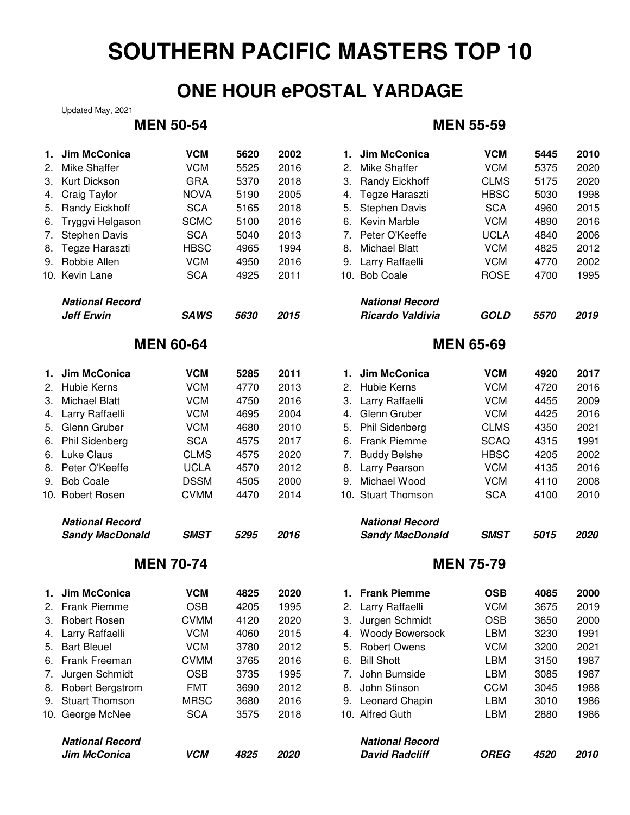## **ONE HOUR ePOSTAL YARDAGE**

Updated May, 2021

## **MEN 50-54**

| 1.  | Jim McConica                                | <b>VCM</b>       | 5620 | 2002 | 1.               | Jim McConica                               | <b>VCM</b>       | 5445 | 2010 |  |
|-----|---------------------------------------------|------------------|------|------|------------------|--------------------------------------------|------------------|------|------|--|
| 2.  | <b>Mike Shaffer</b>                         | <b>VCM</b>       | 5525 | 2016 | 2.               | <b>Mike Shaffer</b>                        | <b>VCM</b>       | 5375 | 2020 |  |
| 3.  | Kurt Dickson                                | <b>GRA</b>       | 5370 | 2018 | 3.               | <b>Randy Eickhoff</b>                      | <b>CLMS</b>      | 5175 | 2020 |  |
| 4.  | Craig Taylor                                | <b>NOVA</b>      | 5190 | 2005 | 4.               | Tegze Haraszti                             | <b>HBSC</b>      | 5030 | 1998 |  |
| 5.  | <b>Randy Eickhoff</b>                       | <b>SCA</b>       | 5165 | 2018 | 5.               | <b>Stephen Davis</b>                       | <b>SCA</b>       | 4960 | 2015 |  |
| 6.  | Tryggvi Helgason                            | <b>SCMC</b>      | 5100 | 2016 | 6.               | Kevin Marble                               | <b>VCM</b>       | 4890 | 2016 |  |
| 7.  | <b>Stephen Davis</b>                        | <b>SCA</b>       | 5040 | 2013 | 7.               | Peter O'Keeffe                             | <b>UCLA</b>      | 4840 | 2006 |  |
| 8.  | Tegze Haraszti                              | <b>HBSC</b>      | 4965 | 1994 | 8.               | <b>Michael Blatt</b>                       | <b>VCM</b>       | 4825 | 2012 |  |
| 9.  | Robbie Allen                                | <b>VCM</b>       | 4950 | 2016 | 9.               | Larry Raffaelli                            | <b>VCM</b>       | 4770 | 2002 |  |
|     | 10. Kevin Lane                              | <b>SCA</b>       | 4925 | 2011 |                  | 10. Bob Coale                              | <b>ROSE</b>      | 4700 | 1995 |  |
|     |                                             |                  |      |      |                  |                                            |                  |      |      |  |
|     | <b>National Record</b><br><b>Jeff Erwin</b> | <b>SAWS</b>      | 5630 | 2015 |                  | <b>National Record</b><br>Ricardo Valdivia | <b>GOLD</b>      | 5570 | 2019 |  |
|     |                                             |                  |      |      |                  |                                            |                  |      |      |  |
|     |                                             | <b>MEN 60-64</b> |      |      |                  |                                            | <b>MEN 65-69</b> |      |      |  |
| 1.  | Jim McConica                                | <b>VCM</b>       | 5285 | 2011 | 1.               | Jim McConica                               | <b>VCM</b>       | 4920 | 2017 |  |
| 2.  | <b>Hubie Kerns</b>                          | <b>VCM</b>       | 4770 | 2013 | 2.               | <b>Hubie Kerns</b>                         | <b>VCM</b>       | 4720 | 2016 |  |
| 3.  | <b>Michael Blatt</b>                        | <b>VCM</b>       | 4750 | 2016 | 3.               | Larry Raffaelli                            | <b>VCM</b>       | 4455 | 2009 |  |
| 4.  | Larry Raffaelli                             | <b>VCM</b>       | 4695 | 2004 | 4.               | Glenn Gruber                               | <b>VCM</b>       | 4425 | 2016 |  |
| 5.  | Glenn Gruber                                | <b>VCM</b>       | 4680 | 2010 | 5.               | Phil Sidenberg                             | <b>CLMS</b>      | 4350 | 2021 |  |
| 6.  | Phil Sidenberg                              | <b>SCA</b>       | 4575 | 2017 | 6.               | Frank Piemme                               | <b>SCAQ</b>      | 4315 | 1991 |  |
| 6.  | Luke Claus                                  | <b>CLMS</b>      | 4575 | 2020 | 7.               | <b>Buddy Belshe</b>                        | <b>HBSC</b>      | 4205 | 2002 |  |
| 8.  | Peter O'Keeffe                              | <b>UCLA</b>      | 4570 | 2012 | 8.               | Larry Pearson                              | <b>VCM</b>       | 4135 | 2016 |  |
| 9.  | <b>Bob Coale</b>                            | <b>DSSM</b>      | 4505 | 2000 | 9.               | Michael Wood                               | <b>VCM</b>       | 4110 | 2008 |  |
| 10. | <b>Robert Rosen</b>                         | <b>CVMM</b>      | 4470 | 2014 |                  | 10. Stuart Thomson                         | <b>SCA</b>       | 4100 | 2010 |  |
|     | <b>National Record</b>                      |                  |      |      |                  | <b>National Record</b>                     |                  |      |      |  |
|     | <b>Sandy MacDonald</b>                      | <b>SMST</b>      | 5295 | 2016 |                  | <b>Sandy MacDonald</b>                     | <b>SMST</b>      | 5015 | 2020 |  |
|     | <b>MEN 70-74</b>                            |                  |      |      | <b>MEN 75-79</b> |                                            |                  |      |      |  |
|     |                                             |                  |      |      |                  |                                            |                  |      |      |  |
| 1.  | Jim McConica                                | <b>VCM</b>       | 4825 | 2020 | 1.               | <b>Frank Piemme</b>                        | <b>OSB</b>       | 4085 | 2000 |  |
| 2.  | Frank Piemme                                | OSB              | 4205 | 1995 |                  | Larry Raffaelli                            | VCM              | 3675 | 2019 |  |
| 3.  | <b>Robert Rosen</b>                         | <b>CVMM</b>      | 4120 | 2020 | 3.               | Jurgen Schmidt                             | <b>OSB</b>       | 3650 | 2000 |  |
| 4.  | Larry Raffaelli                             | <b>VCM</b>       | 4060 | 2015 | 4.               | <b>Woody Bowersock</b>                     | LBM              | 3230 | 1991 |  |
| 5.  | <b>Bart Bleuel</b>                          | <b>VCM</b>       | 3780 | 2012 | 5.               | <b>Robert Owens</b>                        | <b>VCM</b>       | 3200 | 2021 |  |
| 6.  | Frank Freeman                               | <b>CVMM</b>      | 3765 | 2016 | 6.               | <b>Bill Shott</b>                          | LBM              | 3150 | 1987 |  |
| 7.  | Jurgen Schmidt                              | <b>OSB</b>       | 3735 | 1995 | 7.               | John Burnside                              | LBM              | 3085 | 1987 |  |
| 8.  | <b>Robert Bergstrom</b>                     | <b>FMT</b>       | 3690 | 2012 | 8.               | John Stinson                               | <b>CCM</b>       | 3045 | 1988 |  |
| 9.  | <b>Stuart Thomson</b>                       | <b>MRSC</b>      | 3680 | 2016 | 9.               | Leonard Chapin                             | LBM              | 3010 | 1986 |  |
| 10. | George McNee                                | <b>SCA</b>       | 3575 | 2018 |                  | 10. Alfred Guth                            | LBM              | 2880 | 1986 |  |
|     | <b>National Record</b>                      |                  |      |      |                  | <b>National Record</b>                     |                  |      |      |  |
|     | Jim McConica                                | <b>VCM</b>       | 4825 | 2020 |                  | <b>David Radcliff</b>                      | <b>OREG</b>      | 4520 | 2010 |  |